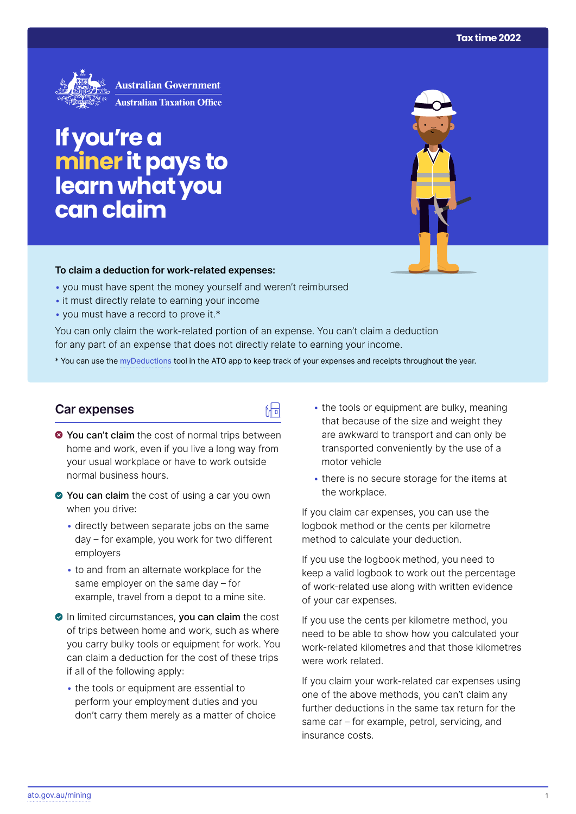

# **If you're a miner it pays to learn what you can claim**

#### **To claim a deduction for work‑related expenses:**

- you must have spent the money yourself and weren't reimbursed
- it must directly relate to earning your income
- you must have a record to prove it.\*

You can only claim the work-related portion of an expense. You can't claim a deduction for any part of an expense that does not directly relate to earning your income.

\* You can use the [myDeductions](https://ato.gov.au/mydeductions) tool in the ATO app to keep track of your expenses and receipts throughout the year.

品

### **Car expenses**

- $\bullet$  You can't claim the cost of normal trips between home and work, even if you live a long way from your usual workplace or have to work outside normal business hours.
- ◆ You can claim the cost of using a car you own when you drive:
	- directly between separate jobs on the same day – for example, you work for two different employers
	- to and from an alternate workplace for the same employer on the same day – for example, travel from a depot to a mine site.
- In limited circumstances, you can claim the cost of trips between home and work, such as where you carry bulky tools or equipment for work. You can claim a deduction for the cost of these trips if all of the following apply:
	- the tools or equipment are essential to perform your employment duties and you don't carry them merely as a matter of choice
- the tools or equipment are bulky, meaning that because of the size and weight they are awkward to transport and can only be transported conveniently by the use of a motor vehicle
- there is no secure storage for the items at the workplace.

If you claim car expenses, you can use the logbook method or the cents per kilometre method to calculate your deduction.

If you use the logbook method, you need to keep a valid logbook to work out the percentage of work-related use along with written evidence of your car expenses.

If you use the cents per kilometre method, you need to be able to show how you calculated your work-related kilometres and that those kilometres were work related.

If you claim your work-related car expenses using one of the above methods, you can't claim any further deductions in the same tax return for the same car – for example, petrol, servicing, and insurance costs.